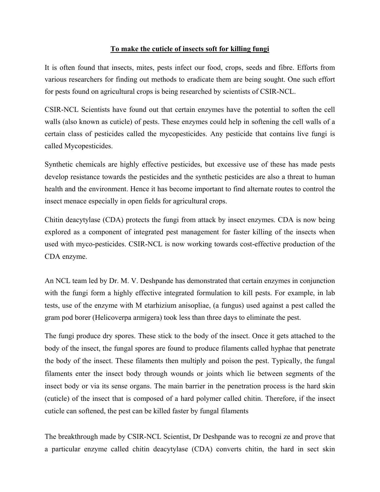## **To make the cuticle of insects soft for killing fungi**

It is often found that insects, mites, pests infect our food, crops, seeds and fibre. Efforts from various researchers for finding out methods to eradicate them are being sought. One such effort for pests found on agricultural crops is being researched by scientists of CSIR-NCL.

CSIR-NCL Scientists have found out that certain enzymes have the potential to soften the cell walls (also known as cuticle) of pests. These enzymes could help in softening the cell walls of a certain class of pesticides called the mycopesticides. Any pesticide that contains live fungi is called Mycopesticides.

Synthetic chemicals are highly effective pesticides, but excessive use of these has made pests develop resistance towards the pesticides and the synthetic pesticides are also a threat to human health and the environment. Hence it has become important to find alternate routes to control the insect menace especially in open fields for agricultural crops.

Chitin deacytylase (CDA) protects the fungi from attack by insect enzymes. CDA is now being explored as a component of integrated pest management for faster killing of the insects when used with myco-pesticides. CSIR-NCL is now working towards cost-effective production of the CDA enzyme.

An NCL team led by Dr. M. V. Deshpande has demonstrated that certain enzymes in conjunction with the fungi form a highly effective integrated formulation to kill pests. For example, in lab tests, use of the enzyme with M etarhizium anisopliae, (a fungus) used against a pest called the gram pod borer (Helicoverpa armigera) took less than three days to eliminate the pest.

The fungi produce dry spores. These stick to the body of the insect. Once it gets attached to the body of the insect, the fungal spores are found to produce filaments called hyphae that penetrate the body of the insect. These filaments then multiply and poison the pest. Typically, the fungal filaments enter the insect body through wounds or joints which lie between segments of the insect body or via its sense organs. The main barrier in the penetration process is the hard skin (cuticle) of the insect that is composed of a hard polymer called chitin. Therefore, if the insect cuticle can softened, the pest can be killed faster by fungal filaments

The breakthrough made by CSIR-NCL Scientist, Dr Deshpande was to recogni ze and prove that a particular enzyme called chitin deacytylase (CDA) converts chitin, the hard in sect skin